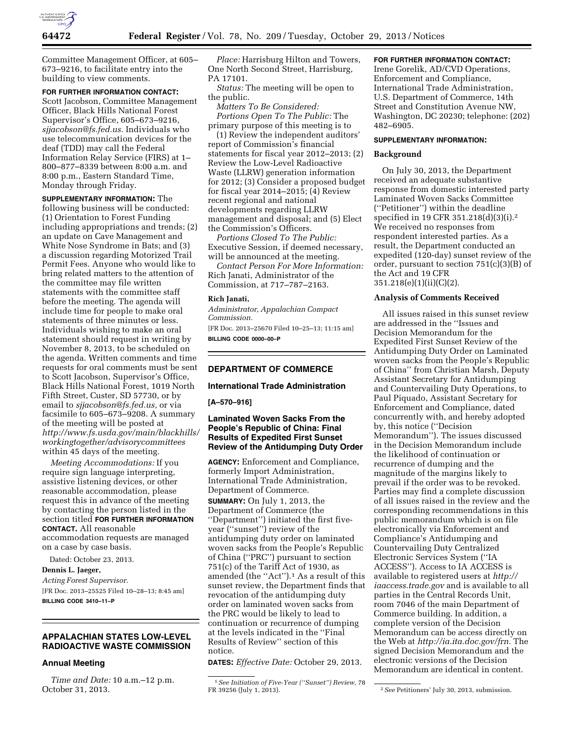

Committee Management Officer, at 605– 673–9216, to facilitate entry into the building to view comments.

### **FOR FURTHER INFORMATION CONTACT:**

Scott Jacobson, Committee Management Officer, Black Hills National Forest Supervisor's Office, 605–673–9216, *[sjjacobson@fs.fed.us.](mailto:sjjacobson@fs.fed.us)* Individuals who use telecommunication devices for the deaf (TDD) may call the Federal Information Relay Service (FIRS) at 1– 800–877–8339 between 8:00 a.m. and 8:00 p.m., Eastern Standard Time, Monday through Friday.

**SUPPLEMENTARY INFORMATION:** The following business will be conducted: (1) Orientation to Forest Funding including appropriations and trends; (2) an update on Cave Management and White Nose Syndrome in Bats; and (3) a discussion regarding Motorized Trail Permit Fees. Anyone who would like to bring related matters to the attention of the committee may file written statements with the committee staff before the meeting. The agenda will include time for people to make oral statements of three minutes or less. Individuals wishing to make an oral statement should request in writing by November 8, 2013, to be scheduled on the agenda. Written comments and time requests for oral comments must be sent to Scott Jacobson, Supervisor's Office, Black Hills National Forest, 1019 North Fifth Street, Custer, SD 57730, or by email to *[sjjacobson@fs.fed.us,](mailto:sjjacobson@fs.fed.us)* or via facsimile to 605–673–9208. A summary of the meeting will be posted at *[http://www.fs.usda.gov/main/blackhills/](http://www.fs.usda.gov/main/blackhills/workingtogether/advisorycommittees)  [workingtogether/advisorycommittees](http://www.fs.usda.gov/main/blackhills/workingtogether/advisorycommittees)*  within 45 days of the meeting.

*Meeting Accommodations:* If you require sign language interpreting, assistive listening devices, or other reasonable accommodation, please request this in advance of the meeting by contacting the person listed in the section titled **FOR FURTHER INFORMATION CONTACT.** All reasonable accommodation requests are managed on a case by case basis.

Dated: October 23, 2013.

### **Dennis L. Jaeger,**

*Acting Forest Supervisor.*  [FR Doc. 2013–25525 Filed 10–28–13; 8:45 am] **BILLING CODE 3410–11–P** 

### **APPALACHIAN STATES LOW-LEVEL RADIOACTIVE WASTE COMMISSION**

# **Annual Meeting**

*Time and Date:* 10 a.m.–12 p.m. October 31, 2013.

*Place:* Harrisburg Hilton and Towers, One North Second Street, Harrisburg, PA 17101.

*Status:* The meeting will be open to the public.

*Matters To Be Considered: Portions Open To The Public:* The primary purpose of this meeting is to

(1) Review the independent auditors' report of Commission's financial statements for fiscal year 2012–2013; (2) Review the Low-Level Radioactive Waste (LLRW) generation information for 2012; (3) Consider a proposed budget for fiscal year 2014–2015; (4) Review recent regional and national developments regarding LLRW management and disposal; and (5) Elect the Commission's Officers.

*Portions Closed To The Public:*  Executive Session, if deemed necessary, will be announced at the meeting.

*Contact Person For More Information:*  Rich Janati, Administrator of the Commission, at 717–787–2163.

#### **Rich Janati,**

*Administrator, Appalachian Compact Commission.* 

[FR Doc. 2013–25670 Filed 10–25–13; 11:15 am] **BILLING CODE 0000–00–P** 

## **DEPARTMENT OF COMMERCE**

# **International Trade Administration**

**[A–570–916]** 

# **Laminated Woven Sacks From the People's Republic of China: Final Results of Expedited First Sunset Review of the Antidumping Duty Order**

**AGENCY:** Enforcement and Compliance, formerly Import Administration, International Trade Administration, Department of Commerce.

**SUMMARY:** On July 1, 2013, the Department of Commerce (the ''Department'') initiated the first fiveyear (''sunset'') review of the antidumping duty order on laminated woven sacks from the People's Republic of China (''PRC'') pursuant to section 751(c) of the Tariff Act of 1930, as amended (the ''Act'').1 As a result of this sunset review, the Department finds that revocation of the antidumping duty order on laminated woven sacks from the PRC would be likely to lead to continuation or recurrence of dumping at the levels indicated in the ''Final Results of Review'' section of this notice.

**DATES:** *Effective Date:* October 29, 2013.

### **FOR FURTHER INFORMATION CONTACT:**

Irene Gorelik, AD/CVD Operations, Enforcement and Compliance, International Trade Administration, U.S. Department of Commerce, 14th Street and Constitution Avenue NW, Washington, DC 20230; telephone: (202) 482–6905.

#### **SUPPLEMENTARY INFORMATION:**

#### **Background**

On July 30, 2013, the Department received an adequate substantive response from domestic interested party Laminated Woven Sacks Committee (''Petitioner'') within the deadline specified in 19 CFR 351.218(d)(3)(i).2 We received no responses from respondent interested parties. As a result, the Department conducted an expedited (120-day) sunset review of the order, pursuant to section 751(c)(3)(B) of the Act and 19 CFR 351.218(e)(1)(ii)(C)(2).

#### **Analysis of Comments Received**

All issues raised in this sunset review are addressed in the ''Issues and Decision Memorandum for the Expedited First Sunset Review of the Antidumping Duty Order on Laminated woven sacks from the People's Republic of China'' from Christian Marsh, Deputy Assistant Secretary for Antidumping and Countervailing Duty Operations, to Paul Piquado, Assistant Secretary for Enforcement and Compliance, dated concurrently with, and hereby adopted by, this notice (''Decision Memorandum''). The issues discussed in the Decision Memorandum include the likelihood of continuation or recurrence of dumping and the magnitude of the margins likely to prevail if the order was to be revoked. Parties may find a complete discussion of all issues raised in the review and the corresponding recommendations in this public memorandum which is on file electronically via Enforcement and Compliance's Antidumping and Countervailing Duty Centralized Electronic Services System (''IA ACCESS''). Access to IA ACCESS is available to registered users at *[http://](http://iaaccess.trade.gov) [iaaccess.trade.gov](http://iaaccess.trade.gov)* and is available to all parties in the Central Records Unit, room 7046 of the main Department of Commerce building. In addition, a complete version of the Decision Memorandum can be access directly on the Web at *[http://ia.ita.doc.gov/frn.](http://ia.ita.doc.gov/frn)* The signed Decision Memorandum and the electronic versions of the Decision Memorandum are identical in content.

<sup>&</sup>lt;sup>1</sup> See Initiation of Five-Year ("Sunset") Review, 78<br>FR 39256 (July 1, 2013).

<sup>&</sup>lt;sup>2</sup> See Petitioners' July 30, 2013, submission.